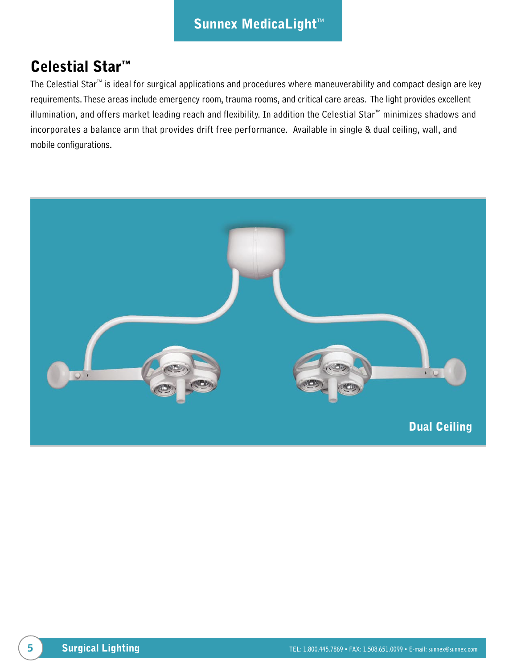## Celestial Star™

The Celestial Star™ is ideal for surgical applications and procedures where maneuverability and compact design are key requirements. These areas include emergency room, trauma rooms, and critical care areas. The light provides excellent illumination, and offers market leading reach and flexibility. In addition the Celestial Star™ minimizes shadows and incorporates a balance arm that provides drift free performance. Available in single & dual ceiling, wall, and mobile configurations.